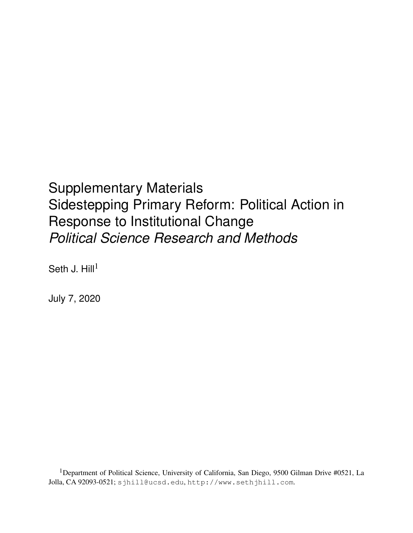<span id="page-0-0"></span>Supplementary Materials Sidestepping Primary Reform: Political Action in Response to Institutional Change *Political Science Research and Methods*

Seth J.  $Hill<sup>1</sup>$ 

July 7, 2020

<sup>1</sup>Department of Political Science, University of California, San Diego, 9500 Gilman Drive #0521, La Jolla, CA 92093-0521; [sjhill@ucsd.edu](mailto:sjhill@ucsd.edu), <http://www.sethjhill.com>.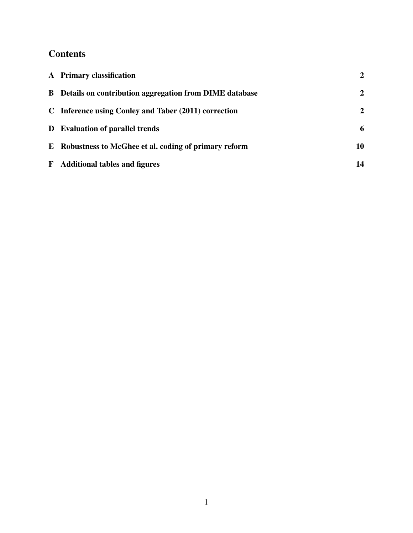## **Contents**

| A Primary classification                                        | $\overline{2}$ |
|-----------------------------------------------------------------|----------------|
| <b>B</b> Details on contribution aggregation from DIME database | 2              |
| C Inference using Conley and Taber (2011) correction            | $\overline{2}$ |
| <b>D</b> Evaluation of parallel trends                          | 6              |
| E Robustness to McGhee et al. coding of primary reform          | 10             |
| <b>F</b> Additional tables and figures                          | 14             |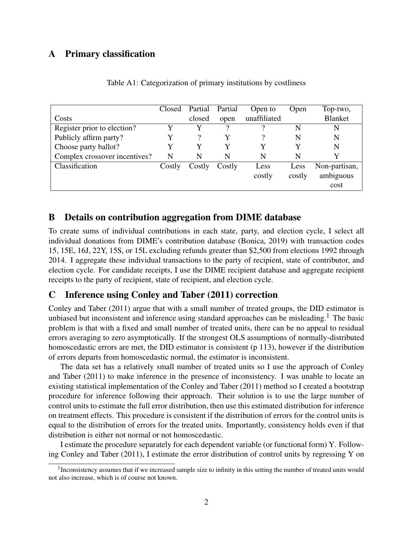## <span id="page-2-0"></span>A Primary classification

|                               | Closed | Partial Partial |        | Open to      | Open   | Top-two,       |
|-------------------------------|--------|-----------------|--------|--------------|--------|----------------|
| Costs                         |        | closed          | open   | unaffiliated |        | <b>Blanket</b> |
| Register prior to election?   | Y      |                 | 9      |              | N      | N              |
| Publicly affirm party?        |        |                 |        |              | N      | N              |
| Choose party ballot?          |        |                 |        |              |        | N              |
| Complex crossover incentives? | N      | N               | N      | N            | N      | Y              |
| Classification                | Costly | Costly          | Costly | Less         | Less   | Non-partisan,  |
|                               |        |                 |        | costly       | costly | ambiguous      |
|                               |        |                 |        |              |        | cost           |

Table A1: Categorization of primary institutions by costliness

## <span id="page-2-1"></span>B Details on contribution aggregation from DIME database

To create sums of individual contributions in each state, party, and election cycle, I select all individual donations from DIME's contribution database [\(Bonica,](#page-18-1) [2019\)](#page-18-1) with transaction codes 15, 15E, 16J, 22Y, 15S, or 15L excluding refunds greater than \$2,500 from elections 1992 through 2014. I aggregate these individual transactions to the party of recipient, state of contributor, and election cycle. For candidate receipts, I use the DIME recipient database and aggregate recipient receipts to the party of recipient, state of recipient, and election cycle.

## <span id="page-2-2"></span>C Inference using [Conley and Taber](#page-18-0) [\(2011\)](#page-18-0) correction

[Conley and Taber](#page-18-0) [\(2011\)](#page-18-0) argue that with a small number of treated groups, the DID estimator is unbiased but inconsistent and inference using standard approaches can be misleading.<sup>[1](#page-2-3)</sup> The basic problem is that with a fixed and small number of treated units, there can be no appeal to residual errors averaging to zero asymptotically. If the strongest OLS assumptions of normally-distributed homoscedastic errors are met, the DID estimator is consistent (p 113), however if the distribution of errors departs from homoscedastic normal, the estimator is inconsistent.

The data set has a relatively small number of treated units so I use the approach of [Conley](#page-18-0) [and Taber](#page-18-0) [\(2011\)](#page-18-0) to make inference in the presence of inconsistency. I was unable to locate an existing statistical implementation of the [Conley and Taber](#page-18-0) [\(2011\)](#page-18-0) method so I created a bootstrap procedure for inference following their approach. Their solution is to use the large number of control units to estimate the full error distribution, then use this estimated distribution for inference on treatment effects. This procedure is consistent if the distribution of errors for the control units is equal to the distribution of errors for the treated units. Importantly, consistency holds even if that distribution is either not normal or not homoscedastic.

I estimate the procedure separately for each dependent variable (or functional form) Y. Following [Conley and Taber](#page-18-0) [\(2011\)](#page-18-0), I estimate the error distribution of control units by regressing Y on

<span id="page-2-3"></span><sup>&</sup>lt;sup>1</sup> Inconsistency assumes that if we increased sample size to infinity in this setting the number of treated units would not also increase, which is of course not known.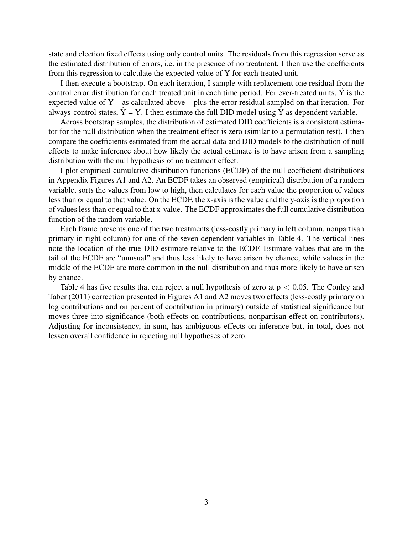state and election fixed effects using only control units. The residuals from this regression serve as the estimated distribution of errors, i.e. in the presence of no treatment. I then use the coefficients from this regression to calculate the expected value of Y for each treated unit.

I then execute a bootstrap. On each iteration, I sample with replacement one residual from the control error distribution for each treated unit in each time period. For ever-treated units,  $\hat{Y}$  is the expected value of Y – as calculated above – plus the error residual sampled on that iteration. For always-control states,  $\hat{Y} = Y$ . I then estimate the full DID model using  $\hat{Y}$  as dependent variable.

Across bootstrap samples, the distribution of estimated DID coefficients is a consistent estimator for the null distribution when the treatment effect is zero (similar to a permutation test). I then compare the coefficients estimated from the actual data and DID models to the distribution of null effects to make inference about how likely the actual estimate is to have arisen from a sampling distribution with the null hypothesis of no treatment effect.

I plot empirical cumulative distribution functions (ECDF) of the null coefficient distributions in Appendix Figures [A1](#page-4-0) and [A2.](#page-5-0) An ECDF takes an observed (empirical) distribution of a random variable, sorts the values from low to high, then calculates for each value the proportion of values less than or equal to that value. On the ECDF, the x-axis is the value and the y-axis is the proportion of values less than or equal to that x-value. The ECDF approximates the full cumulative distribution function of the random variable.

Each frame presents one of the two treatments (less-costly primary in left column, nonpartisan primary in right column) for one of the seven dependent variables in Table [4.](#page-0-0) The vertical lines note the location of the true DID estimate relative to the ECDF. Estimate values that are in the tail of the ECDF are "unusual" and thus less likely to have arisen by chance, while values in the middle of the ECDF are more common in the null distribution and thus more likely to have arisen by chance.

Table [4](#page-0-0) has five results that can reject a null hypothesis of zero at  $p < 0.05$ . The [Conley and](#page-18-0) [Taber](#page-18-0) [\(2011\)](#page-18-0) correction presented in Figures [A1](#page-4-0) and [A2](#page-5-0) moves two effects (less-costly primary on log contributions and on percent of contribution in primary) outside of statistical significance but moves three into significance (both effects on contributions, nonpartisan effect on contributors). Adjusting for inconsistency, in sum, has ambiguous effects on inference but, in total, does not lessen overall confidence in rejecting null hypotheses of zero.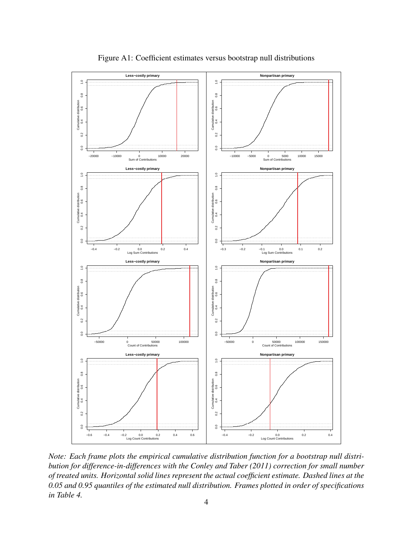

<span id="page-4-0"></span>Figure A1: Coefficient estimates versus bootstrap null distributions

*Note: Each frame plots the empirical cumulative distribution function for a bootstrap null distribution for difference-in-differences with the [Conley and Taber](#page-18-0) [\(2011\)](#page-18-0) correction for small number of treated units. Horizontal solid lines represent the actual coefficient estimate. Dashed lines at the 0.05 and 0.95 quantiles of the estimated null distribution. Frames plotted in order of specifications in Table [4.](#page-0-0)*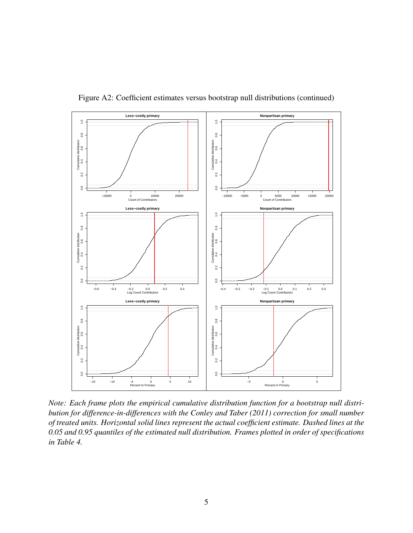

<span id="page-5-0"></span>Figure A2: Coefficient estimates versus bootstrap null distributions (continued)

*Note: Each frame plots the empirical cumulative distribution function for a bootstrap null distribution for difference-in-differences with the [Conley and Taber](#page-18-0) [\(2011\)](#page-18-0) correction for small number of treated units. Horizontal solid lines represent the actual coefficient estimate. Dashed lines at the 0.05 and 0.95 quantiles of the estimated null distribution. Frames plotted in order of specifications in Table [4.](#page-0-0)*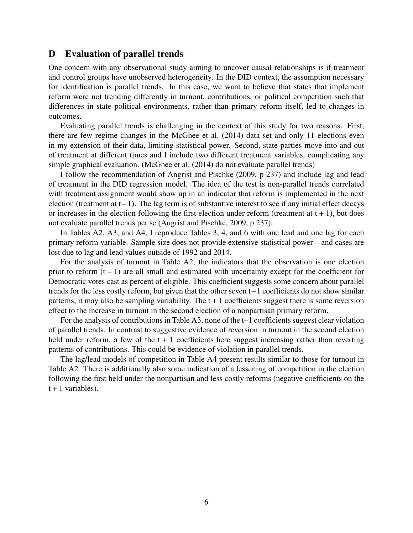### <span id="page-6-0"></span>D Evaluation of parallel trends

One concern with any observational study aiming to uncover causal relationships is if treatment and control groups have unobserved heterogeneity. In the DID context, the assumption necessary for identification is parallel trends. In this case, we want to believe that states that implement reform were not trending differently in turnout, contributions, or political competition such that differences in state political environments, rather than primary reform itself, led to changes in outcomes.

Evaluating parallel trends is challenging in the context of this study for two reasons. First, there are few regime changes in the [McGhee et al.](#page-18-2) [\(2014\)](#page-18-2) data set and only 11 elections even in my extension of their data, limiting statistical power. Second, state-parties move into and out of treatment at different times and I include two different treatment variables, complicating any simple graphical evaluation. [\(McGhee et al.](#page-18-2) [\(2014\)](#page-18-2) do not evaluate parallel trends)

I follow the recommendation of [Angrist and Pischke](#page-18-3) [\(2009,](#page-18-3) p 237) and include lag and lead of treatment in the DID regression model. The idea of the test is non-parallel trends correlated with treatment assignment would show up in an indicator that reform is implemented in the next election (treatment at  $t - 1$ ). The lag term is of substantive interest to see if any initial effect decays or increases in the election following the first election under reform (treatment at  $t + 1$ ), but does not evaluate parallel trends per se [\(Angrist and Pischke,](#page-18-3) [2009,](#page-18-3) p 237).

In Tables [A2,](#page-7-0) [A3,](#page-8-0) and [A4,](#page-9-0) I reproduce Tables [3,](#page-0-0) [4,](#page-0-0) and [6](#page-0-0) with one lead and one lag for each primary reform variable. Sample size does not provide extensive statistical power – and cases are lost due to lag and lead values outside of 1992 and 2014.

For the analysis of turnout in Table [A2,](#page-7-0) the indicators that the observation is one election prior to reform  $(t - 1)$  are all small and estimated with uncertainty except for the coefficient for Democratic votes cast as percent of eligible. This coefficient suggests some concern about parallel trends for the less costly reform, but given that the other seven  $t-1$  coefficients do not show similar patterns, it may also be sampling variability. The  $t + 1$  coefficients suggest there is some reversion effect to the increase in turnout in the second election of a nonpartisan primary reform.

For the analysis of contributions in Table [A3,](#page-8-0) none of the t–1 coefficients suggest clear violation of parallel trends. In contrast to suggestive evidence of reversion in turnout in the second election held under reform, a few of the  $t + 1$  coefficients here suggest increasing rather than reverting patterns of contributions. This could be evidence of violation in parallel trends.

The lag/lead models of competition in Table [A4](#page-9-0) present results similar to those for turnout in Table [A2.](#page-7-0) There is additionally also some indication of a lessening of competition in the election following the first held under the nonpartisan and less costly reforms (negative coefficients on the  $t + 1$  variables).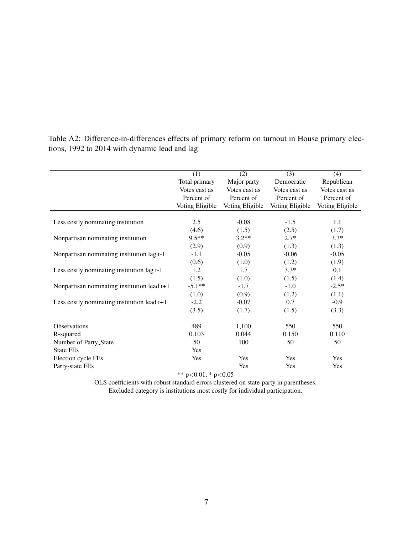|                                                                                                                        | (1)                                                                | (2)                                         | (3)                       | (4)                       |
|------------------------------------------------------------------------------------------------------------------------|--------------------------------------------------------------------|---------------------------------------------|---------------------------|---------------------------|
|                                                                                                                        | Total primary                                                      | Major party                                 | Democratic                | Republican                |
|                                                                                                                        | Votes cast as                                                      | Votes cast as                               | Votes cast as             | Votes cast as             |
|                                                                                                                        | Percent of                                                         | Percent of                                  | Percent of                | Percent of                |
|                                                                                                                        | Voting Eligible                                                    | Voting Eligible                             | Voting Eligible           | Voting Eligible           |
|                                                                                                                        |                                                                    |                                             |                           |                           |
| Less costly nominating institution                                                                                     | 2.5                                                                | $-0.08$                                     | $-1.5$                    | 1.1                       |
|                                                                                                                        | (4.6)                                                              | (1.5)                                       | (2.5)                     | (1.7)                     |
| Nonpartisan nominating institution                                                                                     | $9.5**$                                                            | $3.2**$                                     | $2.7*$                    | $3.3*$                    |
|                                                                                                                        | (2.9)                                                              | (0.9)                                       | (1.3)                     | (1.3)                     |
| Nonpartisan nominating institution lag t-1                                                                             | $-1.1$                                                             | $-0.05$                                     | $-0.06$                   | $-0.05$                   |
|                                                                                                                        | (0.6)                                                              | (1.0)                                       | (1.2)                     | (1.9)                     |
| Less costly nominating institution lag t-1                                                                             | 1.2                                                                | 1.7                                         | $3.3*$                    | 0.1                       |
|                                                                                                                        | (1.5)                                                              | (1.0)                                       | (1.5)                     | (1.4)                     |
| Nonpartisan nominating institution lead $t+1$                                                                          | $-5.1**$                                                           | $-1.7$                                      | $-1.0$                    | $-2.5*$                   |
|                                                                                                                        | (1.0)                                                              | (0.9)                                       | (1.2)                     | (1.1)                     |
| Less costly nominating institution lead $t+1$                                                                          | $-2.2$                                                             | $-0.07$                                     | 0.7                       | $-0.9$                    |
|                                                                                                                        | (3.5)                                                              | (1.7)                                       | (1.5)                     | (3.3)                     |
|                                                                                                                        |                                                                    |                                             |                           |                           |
|                                                                                                                        |                                                                    |                                             |                           |                           |
|                                                                                                                        |                                                                    |                                             |                           |                           |
|                                                                                                                        |                                                                    |                                             |                           |                           |
|                                                                                                                        |                                                                    |                                             |                           |                           |
|                                                                                                                        |                                                                    |                                             | Yes                       | Yes                       |
| <b>Observations</b><br>R-squared<br>Number of Party_State<br><b>State FEs</b><br>Election cycle FEs<br>Party-state FEs | 489<br>0.103<br>50<br>Yes<br>Yes<br>ماله ماله<br>0.01 <sub>0</sub> | 1,100<br>0.044<br>100<br>Yes<br>Yes<br>0.05 | 550<br>0.150<br>50<br>Yes | 550<br>0.110<br>50<br>Yes |

<span id="page-7-0"></span>Table A2: Difference-in-differences effects of primary reform on turnout in House primary elections, 1992 to 2014 with dynamic lead and lag

\*\*  $p<0.01$ , \*  $p<0.05$ 

OLS coefficients with robust standard errors clustered on state-party in parentheses. Excluded category is institutions most costly for individual participation.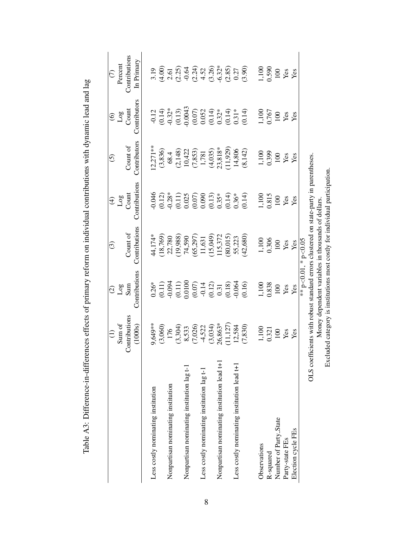<span id="page-8-0"></span>

|                                             |                                                                                                             |                                                                                                                                                                                                                                                                           | $\odot$                                            |                                                                                                                                                                                                                                                                                          | $\widehat{\odot}$                                                                                                                                              |                          | $\epsilon$                                  |
|---------------------------------------------|-------------------------------------------------------------------------------------------------------------|---------------------------------------------------------------------------------------------------------------------------------------------------------------------------------------------------------------------------------------------------------------------------|----------------------------------------------------|------------------------------------------------------------------------------------------------------------------------------------------------------------------------------------------------------------------------------------------------------------------------------------------|----------------------------------------------------------------------------------------------------------------------------------------------------------------|--------------------------|---------------------------------------------|
|                                             | Sum of                                                                                                      | $\frac{2}{3}$<br>Sum                                                                                                                                                                                                                                                      |                                                    | $\begin{array}{c} \textcircled{\scriptsize{4}}\\ \textcircled{\scriptsize{5}}\\ \textcircled{\scriptsize{1}}\\ \textcircled{\scriptsize{1}} \end{array}$                                                                                                                                 |                                                                                                                                                                | $\frac{10}{10}$<br>Count | Percent                                     |
|                                             | Contributions                                                                                               |                                                                                                                                                                                                                                                                           | Count of                                           |                                                                                                                                                                                                                                                                                          | Count of                                                                                                                                                       |                          | <b>Contributions</b>                        |
|                                             | (1000s)                                                                                                     | Contributions                                                                                                                                                                                                                                                             | Contributions                                      | Contributions                                                                                                                                                                                                                                                                            | Contributors                                                                                                                                                   | Contributors             | In Primary                                  |
| Less costly nominating institution          | ),649**                                                                                                     |                                                                                                                                                                                                                                                                           | 44,174*                                            | 0.046                                                                                                                                                                                                                                                                                    | $12,271**$                                                                                                                                                     |                          |                                             |
|                                             |                                                                                                             |                                                                                                                                                                                                                                                                           |                                                    |                                                                                                                                                                                                                                                                                          |                                                                                                                                                                |                          |                                             |
| Nonpartisan nominating institution          | $(3,060)$<br>$176$<br>$(3,304)$<br>$8,533$<br>$(7,026)$<br>$(4,522)$<br>$(3,034)$<br>$(3,034)$<br>$(3,033)$ |                                                                                                                                                                                                                                                                           | $(18,769)$<br>22,780<br>(19,988)                   |                                                                                                                                                                                                                                                                                          |                                                                                                                                                                |                          |                                             |
|                                             |                                                                                                             |                                                                                                                                                                                                                                                                           |                                                    |                                                                                                                                                                                                                                                                                          |                                                                                                                                                                |                          |                                             |
| Nonpartisan nominating institution lag t-1  |                                                                                                             |                                                                                                                                                                                                                                                                           |                                                    |                                                                                                                                                                                                                                                                                          |                                                                                                                                                                |                          |                                             |
|                                             |                                                                                                             |                                                                                                                                                                                                                                                                           |                                                    |                                                                                                                                                                                                                                                                                          |                                                                                                                                                                |                          |                                             |
| Less costly nominating institution lag t-1  |                                                                                                             |                                                                                                                                                                                                                                                                           | 74,590<br>(65,297)<br>11,631<br>115,372<br>115,372 |                                                                                                                                                                                                                                                                                          |                                                                                                                                                                |                          |                                             |
|                                             |                                                                                                             |                                                                                                                                                                                                                                                                           |                                                    |                                                                                                                                                                                                                                                                                          |                                                                                                                                                                |                          |                                             |
| Nonpartisan nominating institution lead t+1 |                                                                                                             |                                                                                                                                                                                                                                                                           |                                                    |                                                                                                                                                                                                                                                                                          |                                                                                                                                                                |                          |                                             |
|                                             |                                                                                                             |                                                                                                                                                                                                                                                                           |                                                    |                                                                                                                                                                                                                                                                                          |                                                                                                                                                                |                          |                                             |
| Less costly nominating institution lead t+1 |                                                                                                             |                                                                                                                                                                                                                                                                           |                                                    |                                                                                                                                                                                                                                                                                          |                                                                                                                                                                |                          |                                             |
|                                             | 11,127)<br>12,584<br>(7,830)                                                                                | $\begin{array}{l} 0.26^{*}\\ 0.11)\\ 0.094\\ 0.0100\\ 0.0000\\ 0.000\\ 0.000\\ 0.010\\ 0.010\\ 0.000\\ 0.000\\ 0.000\\ 0.000\\ 0.000\\ 0.00\\ 0.00\\ 0.00\\ 0.00\\ 0.00\\ 0.00\\ 0.00\\ 0.00\\ 0.00\\ 0.00\\ 0.00\\ 0.00\\ 0.00\\ 0.00\\ 0.00\\ 0.00\\ 0.00\\ 0.00\\ 0.0$ | $(80,015)$<br>55,223<br>(42,680)                   | $\begin{array}{l} (0.12)\\[-4pt] 0.28\%\\[-4pt] 0.025\%\\[-4pt] 0.025\%\\[-4pt] 0.000\%\\[-4pt] 0.000\%\\[-4pt] 0.000\%\\[-4pt] 0.000\%\\[-4pt] 0.000\%\\[-4pt] 0.000\%\\[-4pt] 0.000\%\\[-4pt] 0.000\%\\[-4pt] 0.000\%\\[-4pt] 0.000\%\\[-4pt] 0.000\%\\[-4pt] 0.000\%\\[-4pt] 0.000\%$ | $\begin{array}{l} (3,836)\\ 68.4\\ (2,148)\\ 10,422\\ (7,853)\\ 1,781\\ (4,035)\\ (11,929)\\ (11,929)\\ (11,929)\\ (11,920)\\ (8,142)\\ (8,142)\\ \end{array}$ |                          |                                             |
| Observations                                | $1,100$<br>0.321                                                                                            | 1,100<br>0.838                                                                                                                                                                                                                                                            | 1,100<br>0.306                                     | 1,100<br>0.815                                                                                                                                                                                                                                                                           | 1,100<br>0.399                                                                                                                                                 | 1,100<br>0.767           | $1,100$<br>$100$<br>$Y$ ax<br>$Y$ ax<br>$Y$ |
| R-squared                                   |                                                                                                             |                                                                                                                                                                                                                                                                           |                                                    |                                                                                                                                                                                                                                                                                          |                                                                                                                                                                |                          |                                             |
| Number of Party_State                       | 100                                                                                                         | 100                                                                                                                                                                                                                                                                       | 100                                                | 100                                                                                                                                                                                                                                                                                      | 100                                                                                                                                                            |                          |                                             |
| Party-state FEs                             | Yes                                                                                                         | Yes                                                                                                                                                                                                                                                                       | Yes<br>Yes                                         | Yes                                                                                                                                                                                                                                                                                      | Yes                                                                                                                                                            | $\frac{100}{100}$        |                                             |
| Election cycle FEs                          | Yes                                                                                                         | Yes                                                                                                                                                                                                                                                                       |                                                    | Yes                                                                                                                                                                                                                                                                                      | Yes                                                                                                                                                            |                          |                                             |
|                                             |                                                                                                             |                                                                                                                                                                                                                                                                           | ** $p<0.01$ , * $p<0.05$                           |                                                                                                                                                                                                                                                                                          |                                                                                                                                                                |                          |                                             |
|                                             | OLS coefficients with robust standard errors clustered on state-party in parentheses.                       |                                                                                                                                                                                                                                                                           |                                                    |                                                                                                                                                                                                                                                                                          |                                                                                                                                                                |                          |                                             |
|                                             |                                                                                                             |                                                                                                                                                                                                                                                                           | Money dependent variables in thousands of dollars  |                                                                                                                                                                                                                                                                                          |                                                                                                                                                                |                          |                                             |
|                                             | Excluded category is institutions most costly for individual participation                                  |                                                                                                                                                                                                                                                                           |                                                    |                                                                                                                                                                                                                                                                                          |                                                                                                                                                                |                          |                                             |

Table A3: Difference-in-differences effects of primary reform on individual contributions with dynamic lead and lag Table A3: Difference-in-differences effects of primary reform on individual contributions with dynamic lead and lag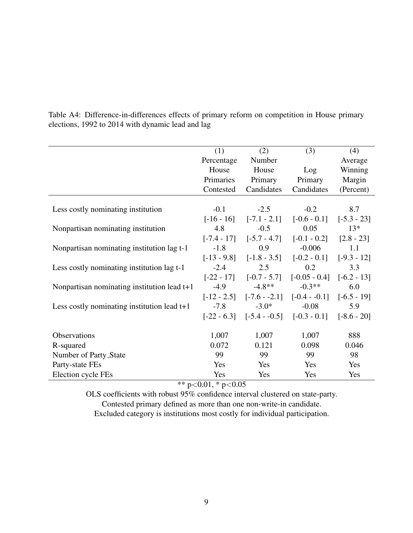|                                               | (1)           | (2)                          | (3)                                                         | (4)           |
|-----------------------------------------------|---------------|------------------------------|-------------------------------------------------------------|---------------|
|                                               | Percentage    | Number                       |                                                             | Average       |
|                                               | House         | House                        | Log                                                         | Winning       |
|                                               | Primaries     | Primary                      | Primary                                                     | Margin        |
|                                               | Contested     | Candidates                   | Candidates                                                  | (Percent)     |
| Less costly nominating institution            | $-0.1$        | $-2.5$                       | $-0.2$                                                      | 8.7           |
|                                               |               | $[-16 - 16]$ $[-7.1 - 2.1]$  | $[-0.6 - 0.1]$                                              | $[-5.3 - 23]$ |
| Nonpartisan nominating institution            | 4.8           | $-0.5$                       | 0.05                                                        | $13*$         |
|                                               |               | $[-7.4 - 17]$ $[-5.7 - 4.7]$ | $[-0.1 - 0.2]$                                              | $[2.8 - 23]$  |
| Nonpartisan nominating institution lag t-1    | $-1.8$        | 0.9                          | $-0.006$                                                    | 1.1           |
|                                               | $[-13 - 9.8]$ | $[-1.8 - 3.5]$               | $[-0.2 - 0.1]$                                              | $[-9.3 - 12]$ |
| Less costly nominating institution lag t-1    | $-2.4$        | 2.5                          | 0.2                                                         | 3.3           |
|                                               |               | $[-22 - 17]$ $[-0.7 - 5.7]$  | $[-0.05 - 0.4]$ $[-6.2 - 13]$                               |               |
| Nonpartisan nominating institution lead $t+1$ | $-4.9$        | $-4.8**$                     | $-0.3**$                                                    | 6.0           |
|                                               |               |                              | $[-12 - 2.5]$ $[-7.6 - -2.1]$ $[-0.4 - -0.1]$ $[-6.5 - 19]$ |               |
| Less costly nominating institution lead $t+1$ | $-7.8$        | $-3.0*$                      | $-0.08$                                                     | 5.9           |
|                                               |               | $[-22 - 6.3]$ $[-5.4 - 0.5]$ | $[-0.3 - 0.1]$ $[-8.6 - 20]$                                |               |
| Observations                                  | 1,007         | 1,007                        | 1,007                                                       | 888           |
|                                               | 0.072         | 0.121                        | 0.098                                                       | 0.046         |
| R-squared                                     |               |                              |                                                             |               |
| Number of Party_State                         | 99            | 99                           | 99                                                          | 98            |
| Party-state FEs                               | <b>Yes</b>    | <b>Yes</b>                   | Yes                                                         | Yes           |
| Election cycle FEs                            | Yes           | Yes                          | Yes                                                         | Yes           |

<span id="page-9-0"></span>Table A4: Difference-in-differences effects of primary reform on competition in House primary elections, 1992 to 2014 with dynamic lead and lag

\*\*  $p < 0.01$ , \*  $p < 0.05$ 

OLS coefficients with robust 95% confidence interval clustered on state-party.

Contested primary defined as more than one non-write-in candidate.

Excluded category is institutions most costly for individual participation.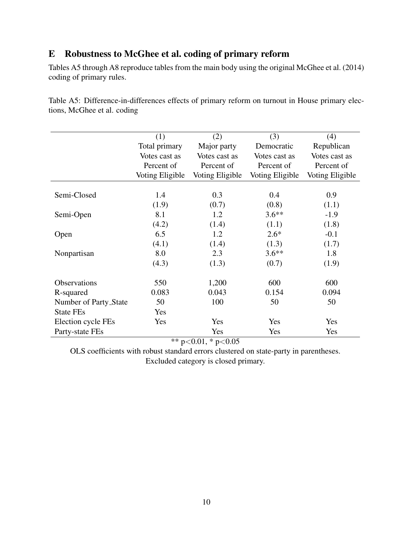## <span id="page-10-0"></span>E Robustness to McGhee et al. coding of primary reform

Tables [A5](#page-10-1) through [A8](#page-13-0) reproduce tables from the main body using the original [McGhee et al.](#page-18-2) [\(2014\)](#page-18-2) coding of primary rules.

|                       | (1)             | (2)             | (3)             | (4)             |
|-----------------------|-----------------|-----------------|-----------------|-----------------|
|                       | Total primary   | Major party     | Democratic      | Republican      |
|                       | Votes cast as   | Votes cast as   | Votes cast as   | Votes cast as   |
|                       | Percent of      | Percent of      | Percent of      | Percent of      |
|                       | Voting Eligible | Voting Eligible | Voting Eligible | Voting Eligible |
|                       |                 |                 |                 |                 |
| Semi-Closed           | 1.4             | 0.3             | 0.4             | 0.9             |
|                       | (1.9)           | (0.7)           | (0.8)           | (1.1)           |
| Semi-Open             | 8.1             | 1.2             | $3.6**$         | $-1.9$          |
|                       | (4.2)           | (1.4)           | (1.1)           | (1.8)           |
| Open                  | 6.5             | 1.2             | $2.6*$          | $-0.1$          |
|                       | (4.1)           | (1.4)           | (1.3)           | (1.7)           |
| Nonpartisan           | 8.0             | 2.3             | $3.6**$         | 1.8             |
|                       | (4.3)           | (1.3)           | (0.7)           | (1.9)           |
| <b>Observations</b>   | 550             | 1,200           | 600             | 600             |
| R-squared             | 0.083           | 0.043           | 0.154           | 0.094           |
| Number of Party_State | 50              | 100             | 50              | 50              |
| <b>State FEs</b>      | Yes             |                 |                 |                 |
| Election cycle FEs    | Yes             | Yes             | Yes             | Yes             |
| Party-state FEs       |                 | Yes             | Yes             | Yes             |

<span id="page-10-1"></span>Table A5: Difference-in-differences effects of primary reform on turnout in House primary elections, [McGhee et al.](#page-18-2) coding

\*\*  $p < 0.01$ , \*  $p < 0.05$ 

OLS coefficients with robust standard errors clustered on state-party in parentheses. Excluded category is closed primary.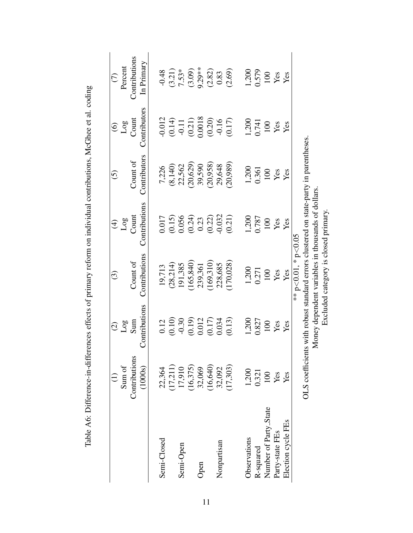|                       |                 | $\widehat{\mathcal{O}}$                                           | $\widehat{\mathbb{C}}$                                                  | $\bigoplus$                                             | $\odot$        | $\odot$                                                           | $\widehat{C}$      |
|-----------------------|-----------------|-------------------------------------------------------------------|-------------------------------------------------------------------------|---------------------------------------------------------|----------------|-------------------------------------------------------------------|--------------------|
|                       | Sum of          | Log                                                               |                                                                         | $\frac{\text{Log}}{\text{Count}}$                       |                | $\frac{\text{Log}}{\text{Count}}$                                 | Percent            |
|                       | Contributions   | Sum                                                               | Count of                                                                |                                                         | Count of       |                                                                   | Contributions      |
|                       | (1000s)         | Contributions                                                     | Contributions                                                           | Contributions                                           | Contributors   | Contributors                                                      | In Primary         |
| Semi-Closed           | 22,364          |                                                                   | 19,713                                                                  |                                                         | 7,226          | $-0.012$                                                          | $-0.48$            |
|                       | (17, 211)       |                                                                   | (28, 214)                                                               |                                                         | (8, 140)       |                                                                   | (3.21)             |
| Semi-Open             | 17,910          | $\begin{array}{c} 0.12 \\ 0.10 \\ -0.30 \end{array}$              | 191,385                                                                 | $\begin{array}{c} 0.017 \\ (0.15) \\ 0.056 \end{array}$ | 22,562         | $\begin{array}{c} (0.14) \\ -0.11 \\ 0.21) \\ 0.0018 \end{array}$ | $7.53*$            |
|                       | (16, 375)       | $\begin{array}{c} (0.19) \\ 0.012 \\ (0.17) \\ 0.034 \end{array}$ | 165,840)                                                                | $(0.24)$<br>$0.23$<br>$(0.22)$<br>$-0.032$              | (20, 629)      |                                                                   |                    |
| Open                  | 32,069          |                                                                   | 239,361                                                                 |                                                         | 39,590         |                                                                   | $(3.09)$<br>9.29** |
|                       | (16, 640)       |                                                                   | 169,310)                                                                |                                                         | (20, 958)      |                                                                   |                    |
| Nonpartisan           | 32,092          |                                                                   | 228,685                                                                 |                                                         | 29,648         |                                                                   | $(2.82)$<br>0.83   |
|                       | (17,303)        | (0.13)                                                            | 170,028)                                                                | (0.21)                                                  | (20, 989)      | $(0.20)$<br>$-0.16$<br>$(0.17)$                                   | (2.69)             |
| Observations          | 1,200           | 1,200                                                             | 1,200                                                                   | 1,200<br>0.787                                          | 1,200<br>0.361 | 1,200<br>0.741                                                    | 1,200<br>0.579     |
| R-squared             | 0.321           | 0.827                                                             | 0.271                                                                   |                                                         |                |                                                                   |                    |
| Number of Party_State |                 | 100                                                               | 100                                                                     | 100                                                     | $100\,$        |                                                                   |                    |
| Party-state FEs       | Yes             | Yes                                                               | Yes                                                                     | Yes                                                     | Yes            | $\frac{100}{\text{Yes}}$                                          | $\frac{100}{100}$  |
| Election cycle FEs    | Yes             | Yes                                                               | Yes                                                                     | Yes                                                     | Yes            | Yes                                                               |                    |
|                       |                 |                                                                   | ** p<0.01, * p<0.05                                                     |                                                         |                |                                                                   |                    |
|                       | OLS coefficient |                                                                   | is with robust standard errors clustered on state-party in parentheses. |                                                         |                |                                                                   |                    |
|                       |                 |                                                                   | Money dependent variables in thousands of dollars.                      |                                                         |                |                                                                   |                    |
|                       |                 |                                                                   | Excluded category is closed primary.                                    |                                                         |                |                                                                   |                    |

Table A6: Difference-in-differences effects of primary reform on individual contributions, McGhee et al. coding Table A6: Difference-in-differences effects of primary reform on individual contributions, [McGhee](#page-18-2) et al. coding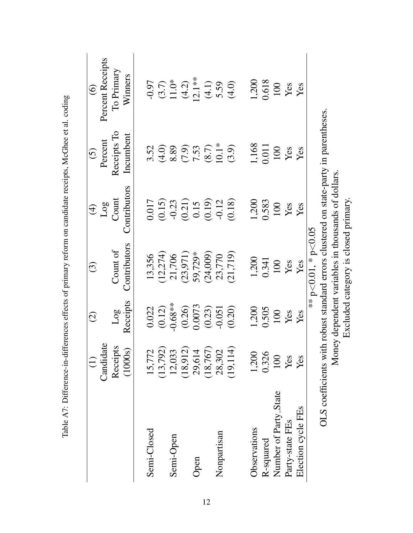|                                                                                       | $\overline{c}$                                       | $\widehat{O}$ | $\widehat{\mathcal{L}}$          | $\bigoplus$  | $\widehat{O}$ | $\widehat{\odot}$ |
|---------------------------------------------------------------------------------------|------------------------------------------------------|---------------|----------------------------------|--------------|---------------|-------------------|
|                                                                                       | Candidate                                            |               |                                  | Log          | Percent       | Percent Receipts  |
|                                                                                       | Receipts                                             | Log           | Count of                         | Count        | Receipts To   | To Primary        |
|                                                                                       | (1000s)                                              | Receipts      | Contributors                     | Contributors | Incumbent     | Winners           |
| Semi-Closed                                                                           | 15,772                                               | 0.022         | 13,356                           | 0.017        | 3.52          | $-0.97$           |
|                                                                                       |                                                      | (0.12)        |                                  | (0.15)       | (4.0)         |                   |
| Semi-Open                                                                             | $(13, 792)$<br>$12, 033$<br>$(18, 912)$<br>$29, 614$ | $-0.68**$     | $(12,274)$<br>21,706<br>(23,971) | $-0.23$      | 8.89          | $(3.7)$<br>11.0*  |
|                                                                                       |                                                      | (0.26)        |                                  | (0.21)       | (7.9)         | $(4.2)$           |
| Open                                                                                  |                                                      | 0.0073        | 59,729*                          | 0.15         | 7.53          | $12.1**$          |
|                                                                                       | $(18, 767)$<br>28,302                                | (0.23)        | (24,009)                         | (0.19)       | (8.7)         |                   |
| Nonpartisan                                                                           |                                                      | $-0.051$      | 23,770                           | $-0.12$      | $10.1*$       | $(4.1)$<br>5.59   |
|                                                                                       | (19, 114)                                            | (0.20)        | (21, 719)                        | (0.18)       | (3.9)         | (4.0)             |
| Observations                                                                          | 1,200                                                | 1,200         | 1,200                            | 1,200        | 1,168         | 1,200             |
| R-squared                                                                             | 0.326                                                | 0.505         | 0.341                            | 0.583        | 0.011         | 0.618             |
| Number of Party_State                                                                 | 100                                                  | 100           | 100                              | 100          | 100           | 100               |
| Party-state FEs                                                                       | Yes                                                  | Yes           | Yes                              | Yes          | Yes           | Yes               |
| Election cycle FEs                                                                    | Yes                                                  | Yes           | Yes                              | Yes          | Yes           | Yes               |
|                                                                                       |                                                      |               | ** p $<$ 0.01, * p $<$ 0.05      |              |               |                   |
| OLS coefficients with robust standard errors clustered on state-party in parentheses. |                                                      |               |                                  |              |               |                   |

Table A7: Difference-in-differences effects of primary reform on candidate receipts, McGhee et al. coding

Money dependent variables in thousands of dollars. Excluded category is closed primary.

Money dependent variables in thousands of dollars.<br>Excluded category is closed primary.

12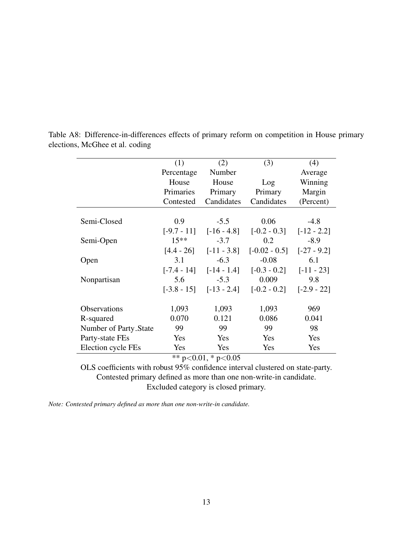<span id="page-13-0"></span>

|                       | (1)        | (2)                         | (3)                                                      | (4)          |
|-----------------------|------------|-----------------------------|----------------------------------------------------------|--------------|
|                       | Percentage | Number                      |                                                          | Average      |
|                       | House      | House                       | Log                                                      | Winning      |
|                       | Primaries  | Primary                     | Primary                                                  | Margin       |
|                       | Contested  | Candidates                  | Candidates                                               | (Percent)    |
|                       |            |                             |                                                          |              |
| Semi-Closed           | 0.9        | $-5.5$                      | 0.06                                                     | $-4.8$       |
|                       |            |                             | $[-9.7 - 11]$ $[-16 - 4.8]$ $[-0.2 - 0.3]$ $[-12 - 2.2]$ |              |
| Semi-Open             | $15**$     | $-3.7$                      | 0.2                                                      | $-8.9$       |
|                       |            | $[4.4 - 26]$ $[-11 - 3.8]$  | $[-0.02 - 0.5]$ $[-27 - 9.2]$                            |              |
| Open                  | 3.1        | $-6.3$                      | $-0.08$                                                  | 6.1          |
|                       |            |                             | $[-7.4 - 14]$ $[-14 - 1.4]$ $[-0.3 - 0.2]$               | $[-11 - 23]$ |
| Nonpartisan           | 5.6        | $-5.3$                      | 0.009                                                    | 9.8          |
|                       |            | $[-3.8 - 15]$ $[-13 - 2.4]$ | $[-0.2 - 0.2]$ $[-2.9 - 22]$                             |              |
| Observations          | 1,093      | 1,093                       | 1,093                                                    | 969          |
| R-squared             | 0.070      | 0.121                       | 0.086                                                    | 0.041        |
| Number of Party_State | 99         | 99                          | 99                                                       | 98           |
| Party-state FEs       | Yes        | Yes                         | Yes                                                      | Yes          |
| Election cycle FEs    | Yes        | Yes                         | Yes                                                      | Yes          |
|                       |            | ** $p<0.01$ , * $p<0.05$    |                                                          |              |

Table A8: Difference-in-differences effects of primary reform on competition in House primary elections, [McGhee et al.](#page-18-2) coding

OLS coefficients with robust 95% confidence interval clustered on state-party. Contested primary defined as more than one non-write-in candidate. Excluded category is closed primary.

*Note: Contested primary defined as more than one non-write-in candidate.*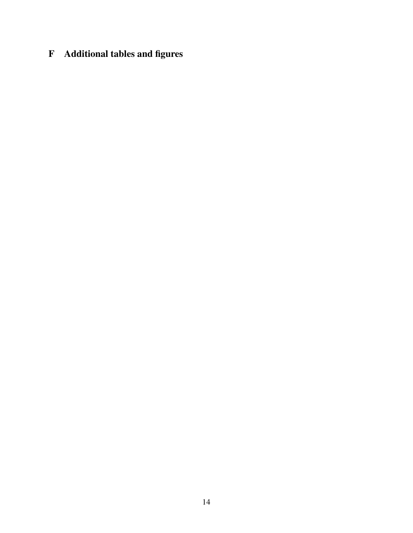# <span id="page-14-0"></span>F Additional tables and figures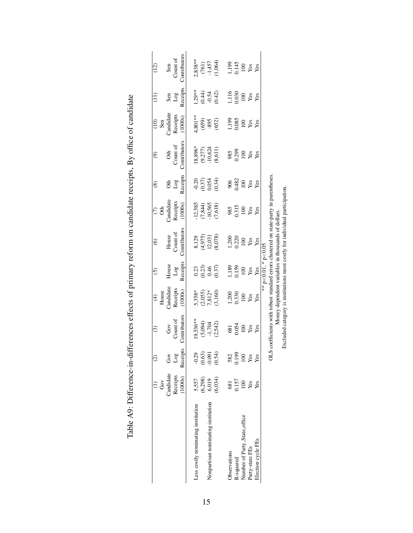|                                    |                                   | $\widehat{c}$                        | $\widehat{\mathcal{C}}$                                                           | $rac{4}{10006}$                                | $\widehat{c}$                        | $\widehat{\mathbf{e}}$                             | $\epsilon$                                       | $\widehat{\circ}$                     | ම                                                                        | $\frac{1}{2}$               |                                         | (12)                                |
|------------------------------------|-----------------------------------|--------------------------------------|-----------------------------------------------------------------------------------|------------------------------------------------|--------------------------------------|----------------------------------------------------|--------------------------------------------------|---------------------------------------|--------------------------------------------------------------------------|-----------------------------|-----------------------------------------|-------------------------------------|
|                                    | Gov                               |                                      |                                                                                   |                                                |                                      |                                                    |                                                  |                                       |                                                                          | Sen                         |                                         |                                     |
|                                    | Candidate                         | Gov                                  | Gov                                                                               | <b>Candidate</b>                               | House                                | House                                              |                                                  | ð                                     | Oth                                                                      | Candidate                   | Sen                                     | Sen                                 |
|                                    | Receipts                          | Log                                  | Count of                                                                          | Receipts                                       | $_{\rm Log}$                         | Count of                                           | Candidate<br>Receipts                            | $_{\rm Log}$                          | Count of                                                                 | Receipts                    | $_{\rm Log}$                            | Count of                            |
|                                    | (1000s)                           | Receipts                             | Contributors                                                                      | (1000s)                                        | Receipts                             | Contributors                                       | (1000s)                                          | Receipts                              | Contributors                                                             | (1000s)                     | Receipts                                | Contributors                        |
|                                    |                                   |                                      | $19,536***$                                                                       |                                                |                                      |                                                    |                                                  |                                       |                                                                          |                             |                                         |                                     |
| Less costly nominating institution | 5,557                             |                                      |                                                                                   |                                                |                                      |                                                    |                                                  |                                       |                                                                          | 4,801**                     |                                         | $2,838***$                          |
|                                    |                                   |                                      |                                                                                   |                                                |                                      |                                                    |                                                  |                                       |                                                                          |                             |                                         |                                     |
| Nonpartisan nominating institution |                                   |                                      |                                                                                   |                                                |                                      |                                                    |                                                  |                                       |                                                                          |                             |                                         |                                     |
|                                    | $(6,298)$<br>$6,019$<br>$(6,034)$ | $0.39$<br>$0.63$<br>$0.54$<br>$0.54$ | $(5,094)$<br>$-1,704$<br>$(2,542)$                                                | $5,358*$<br>$(2,055)$<br>$7,812*$<br>$(3,160)$ | $0.23$<br>$0.24$<br>$0.37$<br>$0.37$ | 8,129<br>(4,975)<br>12,031<br>12,078)              | $-12,585$<br>$(7,844)$<br>$-10,565$<br>$(7,618)$ | $0.37$<br>$0.37$<br>$0.054$<br>$0.34$ | $\begin{array}{l} 18,896^* \\ (9,277) \\ -10,624 \\ (8,611) \end{array}$ | $(659)$<br>$895$<br>$(652)$ | $1.29**$<br>(0.44)<br>(0.42)<br>$-0.54$ | $(761)$<br>$-1,457$<br>$(1,064)$    |
|                                    |                                   |                                      |                                                                                   |                                                |                                      |                                                    |                                                  |                                       |                                                                          |                             |                                         |                                     |
| Observations                       | 681                               | 582                                  |                                                                                   |                                                |                                      |                                                    |                                                  |                                       |                                                                          |                             |                                         |                                     |
| R-squared                          | 0.157                             |                                      |                                                                                   | 1,200<br>0.330                                 | 1,189<br>0.159                       | 1,200<br>0.220<br>100                              | 985<br>0.315<br>100                              |                                       |                                                                          | 1,199<br>0.085              |                                         |                                     |
| Number of Party_State_office       | $100\,$                           | $\frac{1199}{100}$                   | $\frac{681}{100}$<br>100<br>Yes                                                   | $\frac{100}{x}$                                | $100\,$                              |                                                    |                                                  |                                       | 985<br>0.299<br>Yes                                                      |                             | 1,116<br>0.030<br>100                   |                                     |
| Party-state FEs                    | Yes                               |                                      |                                                                                   |                                                | $\mathbf{Yes}$                       | Yes                                                | Yes                                              | 906<br>0.482<br>100<br>Yes<br>Yes     |                                                                          | $100$<br>Yes                | Yes<br>Yes                              | 1,199<br>0.145<br>100<br>Yes<br>Yes |
| Election cycle FEs                 | Yes                               | Yes                                  | Yes                                                                               | Yes                                            | Yes                                  | Yes                                                | Yes                                              |                                       | Yes                                                                      |                             |                                         |                                     |
|                                    |                                   |                                      |                                                                                   |                                                | ** $p < 0.01$ , * $p < 0.05$         |                                                    |                                                  |                                       |                                                                          |                             |                                         |                                     |
|                                    |                                   | <b>OLS</b>                           | coefficients with robust standard errors clustered on state-party in parentheses. |                                                |                                      |                                                    |                                                  |                                       |                                                                          |                             |                                         |                                     |
|                                    |                                   |                                      |                                                                                   |                                                |                                      | Money dependent variables in thousands of dollars. |                                                  |                                       |                                                                          |                             |                                         |                                     |
|                                    |                                   |                                      | Excluded category is institutions most costly for individual participation        |                                                |                                      |                                                    |                                                  |                                       |                                                                          |                             |                                         |                                     |

| i<br>:<br>:<br>$\mathbf{I}$<br>l    |
|-------------------------------------|
|                                     |
| i                                   |
|                                     |
|                                     |
| こていて ならら しょく りょうきくしょうきょうきょう うちょう うち |
|                                     |
|                                     |
| י<br>י<br>$\frac{1}{2}$             |
|                                     |
|                                     |
|                                     |
|                                     |
| Toble AO: Diffe<br>$\frac{1}{3}$    |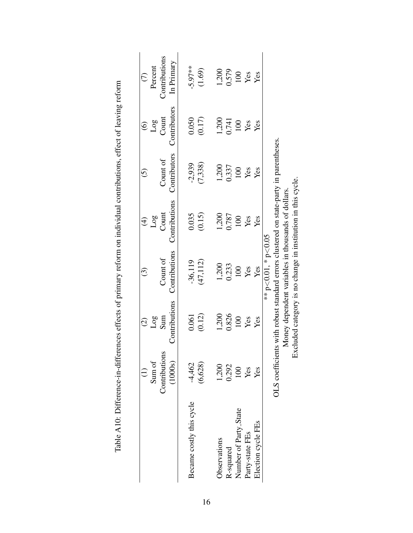|                          | $\widehat{\Xi}$          | $\widehat{\odot}$               | $\widehat{\odot}$        | $\widehat{\mathcal{F}}$                                                               | $\widetilde{\odot}$ | $\widehat{\odot}$ | $\widehat{C}$     |
|--------------------------|--------------------------|---------------------------------|--------------------------|---------------------------------------------------------------------------------------|---------------------|-------------------|-------------------|
|                          | Sum of                   | $\frac{\text{Log}}{\text{Sum}}$ |                          | Log                                                                                   |                     | Log               | Percent           |
|                          | Contributions            |                                 | Count of                 | Count                                                                                 | Count of            | Count             | Contributions     |
|                          | (1000s)                  | Contributions                   | Contributions            | Contributions                                                                         | Contributors        | Contributors      | In Primary        |
| Became costly this cycle | $-4,462$                 | 0.061                           | $-36,119$                | 0.035                                                                                 | $-2,939$            | 0.050             | $-5.97***$        |
|                          | (6,628)                  | (0.12)                          | (47, 112)                | (0.15)                                                                                | (7,338)             | (0.17)            | (1.69)            |
| Observations             | 1,200                    | 1,200                           | 1,200                    | 1,200                                                                                 | 1,200               | 1,200             | 1,200             |
| R-squared                | 0.292                    | 0.826                           | 0.233                    | 0.787                                                                                 | 0.337               | 0.741             | 0.579             |
| Number of Party_State    |                          | 100                             | 100                      | 100                                                                                   | 100                 | $100\,$           |                   |
| Party-state FEs          | $\frac{100}{\text{Yes}}$ | Yes                             | Yes                      | Yes                                                                                   | Yes                 | Yes               | $\frac{100}{100}$ |
| Election cycle FEs       | Yes                      | Yes                             | Yes                      | Yes                                                                                   | Yes                 | Yes               |                   |
|                          |                          |                                 | ** $p<0.01$ , * $p<0.05$ |                                                                                       |                     |                   |                   |
|                          |                          |                                 |                          | OLS coefficients with robust standard errors clustered on state-party in parentheses. |                     |                   |                   |
|                          |                          |                                 |                          | Money dependent variables in thousands of dollars.                                    |                     |                   |                   |
|                          | ĚX                       |                                 |                          | cluded category is no change in institution in this cycle.                            |                     |                   |                   |

| しょうしょう アップ                                                         |  |
|--------------------------------------------------------------------|--|
|                                                                    |  |
|                                                                    |  |
| こころ きりせいせい                                                         |  |
|                                                                    |  |
|                                                                    |  |
|                                                                    |  |
|                                                                    |  |
|                                                                    |  |
|                                                                    |  |
|                                                                    |  |
|                                                                    |  |
|                                                                    |  |
|                                                                    |  |
|                                                                    |  |
|                                                                    |  |
|                                                                    |  |
|                                                                    |  |
|                                                                    |  |
|                                                                    |  |
|                                                                    |  |
|                                                                    |  |
|                                                                    |  |
| a attacte of priportant rate on indistribution on the contribution |  |
|                                                                    |  |
|                                                                    |  |
|                                                                    |  |
|                                                                    |  |
|                                                                    |  |
|                                                                    |  |
|                                                                    |  |
|                                                                    |  |
|                                                                    |  |
|                                                                    |  |
|                                                                    |  |
|                                                                    |  |
|                                                                    |  |
|                                                                    |  |
|                                                                    |  |
|                                                                    |  |
|                                                                    |  |
|                                                                    |  |
|                                                                    |  |
|                                                                    |  |
|                                                                    |  |
|                                                                    |  |
|                                                                    |  |
|                                                                    |  |
|                                                                    |  |
|                                                                    |  |
|                                                                    |  |
|                                                                    |  |
| 11<br>11<br>11                                                     |  |
|                                                                    |  |
|                                                                    |  |
|                                                                    |  |
|                                                                    |  |
|                                                                    |  |
|                                                                    |  |
|                                                                    |  |
|                                                                    |  |
|                                                                    |  |
| )<br>1                                                             |  |
| $E - E$                                                            |  |
|                                                                    |  |
|                                                                    |  |
|                                                                    |  |
|                                                                    |  |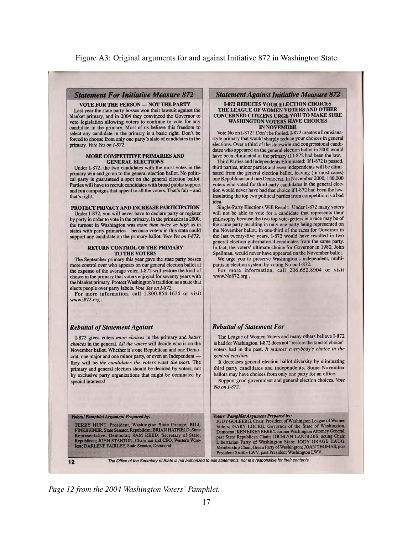#### **Statement For Initiative Measure 872**

#### **VOTE FOR THE PERSON - NOT THE PARTY**

Last year the state party bosses won their lawsuit against the blanket primary, and in 2004 they convinced the Governor to veto legislation allowing voters to continue to vote for any candidate in the primary. Most of us believe this freedom to select any candidate in the primary is a basic right. Don't be forced to choose from only one party's slate of candidates in the primary. Vote Yes on I-872.

#### MORE COMPETITIVE PRIMARIES AND **GENERAL ELECTIONS**

Under I-872, the two candidates with the most votes in the primary win and go on to the general election ballot. No political party is guaranteed a spot on the general election ballot. Parties will have to recruit candidates with broad public support and run campaigns that appeal to all the voters. That's fair - and that's right.

#### PROTECT PRIVACY AND INCREASE PARTICIPATION

Under I-872, you will never have to declare party or register by party in order to vote in the primary. In the primaries in 2000, the turnout in Washington was more than twice as high as in states with party primaries - because voters in this state could support any candidate on the primary ballot. Vote Yes on I-872.

#### **RETURN CONTROL OF THE PRIMARY TO THE VOTERS**

The September primary this year gave the state party bosses more control over who appears on our general election ballot at the expense of the average voter. I-872 will restore the kind of choice in the primary that voters enjoyed for seventy years with the blanket primary. Protect Washington's tradition as a state that elects people over party labels. Vote Yes on I-872.

For more information, call 1.800.854.1635 or visit www.i872.org.

#### **Rebuttal of Statement Against**

I-872 gives voters more choices in the primary and better choices in the general. All the voters will decide who is on the November ballot. Whether it's one Republican and one Democrat, one major and one minor party, or even an Independent they will be the candidates the voters want the most. The primary and general election should be decided by voters, not by exclusive party organizations that might be dominated by special interests!

#### Voters' Pamphlet Argument Prepared by:

TERRY HUNT, President, Washington State Grange; BILL FINKBEINER, State Senator, Republican; BRIAN HATFIELD, State<br>Representative, Democrat; SAM REED, Scoretary of State,<br>NGC 1976 CRAFTING blican; JOHN STANTON, Chairman and CEO, Western Wireless; DARLENE FAIRLEY, State Senator, Democrat.

#### $12$

**Statement Against Initiative Measure 872** 

#### **I-872 REDUCES YOUR ELECTION CHOICES** THE LEAGUE OF WOMEN VOTERS AND OTHER CONCERNED CITIZENS URGE YOU TO MAKE SURE **WASHINGTON VOTERS HAVE CHOICES IN NOVEMBER**

Vote No on I-872! Don't be fooled. I-872 creates a Louisianastyle primary that would sharply reduce your choices in general elections. Over a third of the statewide and congressional candidates who appeared on the general election ballot in 2000 would have been eliminated in the primary if I-872 had been the law.

Third Parties and Independents Eliminated: If I-872 is passed, third parties, minor parties and even independents will be eliminated from the general election ballot, leaving (in most cases) one Republican and one Democrat. In November 2000, 180,000 voters who voted for third party candidates in the general election would never have had that choice if I-872 had been the law. Insulating the top two political parties from competition is a bad idea.

Single-Party Elections Will Result: Under I-872 many voters will not be able to vote for a candidate that represents their philosophy because the two top vote-getters in a race may be of the same party resulting in only one party being represented on the November ballot. In one-third of the races for Governor in the last twenty-five years, I-872 would have resulted in two general election gubernatorial candidates from the same party. In fact, the voters' ultimate choice for Governor in 1980, John Spellman, would never have appeared on the November ballot.

We urge you to preserve Washington's independent, multipartisan election system by voting No on I-872.

For more information, call 206.652.8904 or visit www.No872.org.

### **Rebuttal of Statement For**

The League of Women Voters and many others believe I-872 is bad for Washington. I-872 does not "restore the kind of choice" voters had in the past. It reduces everybody's choice in the general election.

It decreases general election ballot diversity by eliminating third party candidates and independents. Some November ballots may have choices from only one party for an office.

Support good government and general election choices. Vote No on I-872.

Voters' Pamphlet Argument Prepared by:<br>JUDY GOLBERG, Chair, President of Washington League of Women Voters; GARY LOCKE, Governor of the State of Washington, Democrat; KEN EIKENBERRY, former Washington Attorney General, past State Republican Chair; JOCELYN LANGLOIS, acting Chair, Libertarian Party of Washington State; JODY GRAGE HAUG, Membership Chair, Green Party of Washington; JOAN THOMAS, past President Seattle LWV, past President Washington LWV.

The Office of the Secretary of State is not authorized to edit statements, nor is it responsible for their contents.

*Page 12 from the 2004 Washington Voters' Pamphlet.*